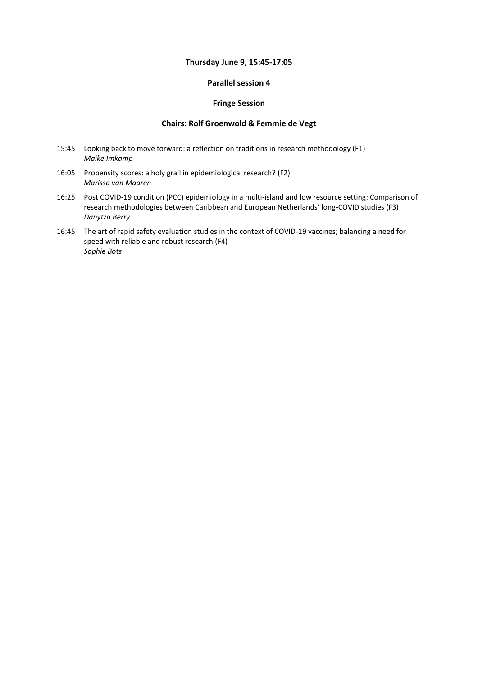# **Thursday June 9, 15:45-17:05**

## **Parallel session 4**

#### **Fringe Session**

## **Chairs: Rolf Groenwold & Femmie de Vegt**

- 15:45 Looking back to move forward: a reflection on traditions in research methodology (F1) *Maike Imkamp*
- 16:05 Propensity scores: a holy grail in epidemiological research? (F2) *Marissa van Maaren*
- 16:25 Post COVID-19 condition (PCC) epidemiology in a multi-island and low resource setting: Comparison of research methodologies between Caribbean and European Netherlands' long-COVID studies (F3) *Danytza Berry*
- 16:45 The art of rapid safety evaluation studies in the context of COVID-19 vaccines; balancing a need for speed with reliable and robust research (F4) *Sophie Bots*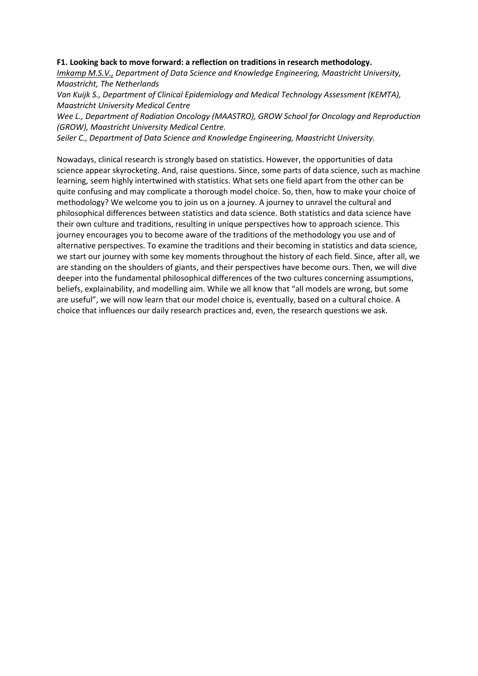#### **F1. Looking back to move forward: a reflection on traditions in research methodology.**

*Imkamp M.S.V., Department of Data Science and Knowledge Engineering, Maastricht University, Maastricht, The Netherlands*

*Van Kuijk S., Department of Clinical Epidemiology and Medical Technology Assessment (KEMTA), Maastricht University Medical Centre*

*Wee L., Department of Radiation Oncology (MAASTRO), GROW School for Oncology and Reproduction (GROW), Maastricht University Medical Centre.*

*Seiler C., Department of Data Science and Knowledge Engineering, Maastricht University.*

Nowadays, clinical research is strongly based on statistics. However, the opportunities of data science appear skyrocketing. And, raise questions. Since, some parts of data science, such as machine learning, seem highly intertwined with statistics. What sets one field apart from the other can be quite confusing and may complicate a thorough model choice. So, then, how to make your choice of methodology? We welcome you to join us on a journey. A journey to unravel the cultural and philosophical differences between statistics and data science. Both statistics and data science have their own culture and traditions, resulting in unique perspectives how to approach science. This journey encourages you to become aware of the traditions of the methodology you use and of alternative perspectives. To examine the traditions and their becoming in statistics and data science, we start our journey with some key moments throughout the history of each field. Since, after all, we are standing on the shoulders of giants, and their perspectives have become ours. Then, we will dive deeper into the fundamental philosophical differences of the two cultures concerning assumptions, beliefs, explainability, and modelling aim. While we all know that "all models are wrong, but some are useful", we will now learn that our model choice is, eventually, based on a cultural choice. A choice that influences our daily research practices and, even, the research questions we ask.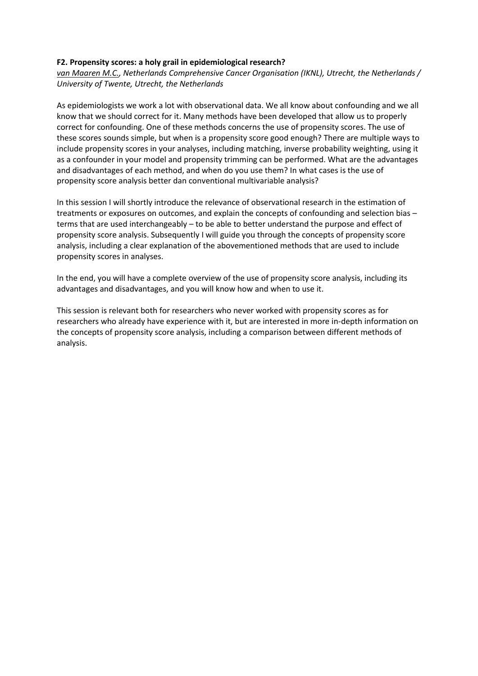## **F2. Propensity scores: a holy grail in epidemiological research?**

*van Maaren M.C., Netherlands Comprehensive Cancer Organisation (IKNL), Utrecht, the Netherlands / University of Twente, Utrecht, the Netherlands*

As epidemiologists we work a lot with observational data. We all know about confounding and we all know that we should correct for it. Many methods have been developed that allow us to properly correct for confounding. One of these methods concerns the use of propensity scores. The use of these scores sounds simple, but when is a propensity score good enough? There are multiple ways to include propensity scores in your analyses, including matching, inverse probability weighting, using it as a confounder in your model and propensity trimming can be performed. What are the advantages and disadvantages of each method, and when do you use them? In what cases is the use of propensity score analysis better dan conventional multivariable analysis?

In this session I will shortly introduce the relevance of observational research in the estimation of treatments or exposures on outcomes, and explain the concepts of confounding and selection bias – terms that are used interchangeably – to be able to better understand the purpose and effect of propensity score analysis. Subsequently I will guide you through the concepts of propensity score analysis, including a clear explanation of the abovementioned methods that are used to include propensity scores in analyses.

In the end, you will have a complete overview of the use of propensity score analysis, including its advantages and disadvantages, and you will know how and when to use it.

This session is relevant both for researchers who never worked with propensity scores as for researchers who already have experience with it, but are interested in more in-depth information on the concepts of propensity score analysis, including a comparison between different methods of analysis.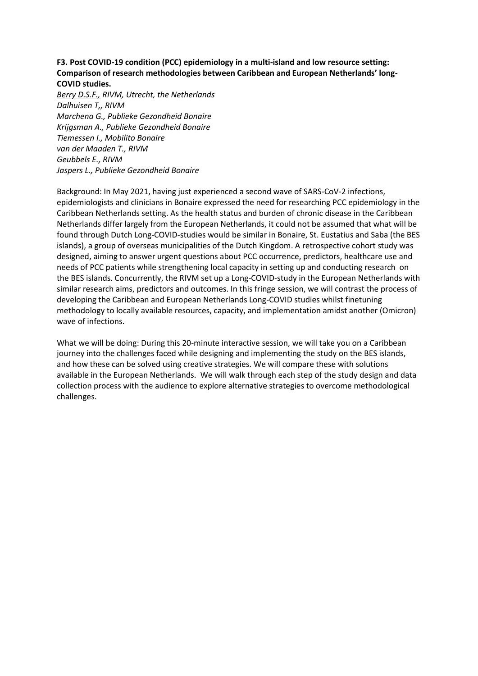## **F3. Post COVID-19 condition (PCC) epidemiology in a multi-island and low resource setting: Comparison of research methodologies between Caribbean and European Netherlands' long-COVID studies.**

*Berry D.S.F., RIVM, Utrecht, the Netherlands Dalhuisen T,, RIVM Marchena G., Publieke Gezondheid Bonaire Krijgsman A., Publieke Gezondheid Bonaire Tiemessen I., Mobilito Bonaire van der Maaden T., RIVM Geubbels E., RIVM Jaspers L., Publieke Gezondheid Bonaire*

Background: In May 2021, having just experienced a second wave of SARS-CoV-2 infections, epidemiologists and clinicians in Bonaire expressed the need for researching PCC epidemiology in the Caribbean Netherlands setting. As the health status and burden of chronic disease in the Caribbean Netherlands differ largely from the European Netherlands, it could not be assumed that what will be found through Dutch Long-COVID-studies would be similar in Bonaire, St. Eustatius and Saba (the BES islands), a group of overseas municipalities of the Dutch Kingdom. A retrospective cohort study was designed, aiming to answer urgent questions about PCC occurrence, predictors, healthcare use and needs of PCC patients while strengthening local capacity in setting up and conducting research on the BES islands. Concurrently, the RIVM set up a Long-COVID-study in the European Netherlands with similar research aims, predictors and outcomes. In this fringe session, we will contrast the process of developing the Caribbean and European Netherlands Long-COVID studies whilst finetuning methodology to locally available resources, capacity, and implementation amidst another (Omicron) wave of infections.

What we will be doing: During this 20-minute interactive session, we will take you on a Caribbean journey into the challenges faced while designing and implementing the study on the BES islands, and how these can be solved using creative strategies. We will compare these with solutions available in the European Netherlands. We will walk through each step of the study design and data collection process with the audience to explore alternative strategies to overcome methodological challenges.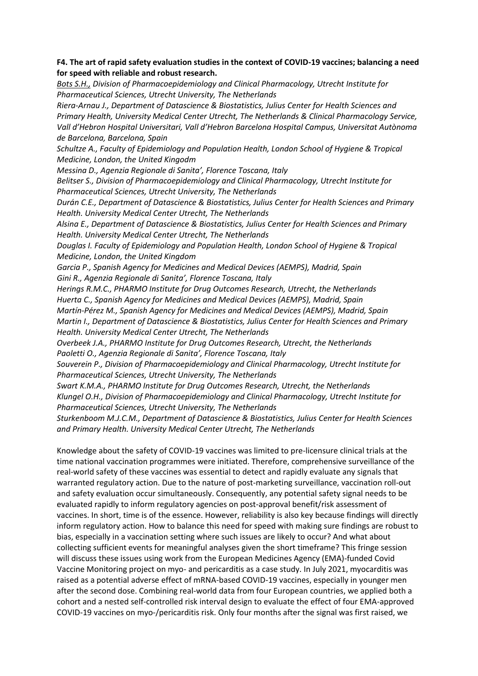## **F4. The art of rapid safety evaluation studies in the context of COVID-19 vaccines; balancing a need for speed with reliable and robust research.**

*Bots S.H., Division of Pharmacoepidemiology and Clinical Pharmacology, Utrecht Institute for Pharmaceutical Sciences, Utrecht University, The Netherlands*

*Riera-Arnau J., Department of Datascience & Biostatistics, Julius Center for Health Sciences and Primary Health, University Medical Center Utrecht, The Netherlands & Clinical Pharmacology Service, Vall d'Hebron Hospital Universitari, Vall d'Hebron Barcelona Hospital Campus, Universitat Autònoma de Barcelona, Barcelona, Spain* 

*Schultze A., Faculty of Epidemiology and Population Health, London School of Hygiene & Tropical Medicine, London, the United Kingodm*

*Messina D., Agenzia Regionale di Sanita', Florence Toscana, Italy* 

*Belitser S., Division of Pharmacoepidemiology and Clinical Pharmacology, Utrecht Institute for Pharmaceutical Sciences, Utrecht University, The Netherlands*

*Durán C.E., Department of Datascience & Biostatistics, Julius Center for Health Sciences and Primary Health. University Medical Center Utrecht, The Netherlands* 

*Alsina E., Department of Datascience & Biostatistics, Julius Center for Health Sciences and Primary Health. University Medical Center Utrecht, The Netherlands* 

*Douglas I. Faculty of Epidemiology and Population Health, London School of Hygiene & Tropical Medicine, London, the United Kingdom*

*Garcia P., Spanish Agency for Medicines and Medical Devices (AEMPS), Madrid, Spain Gini R., Agenzia Regionale di Sanita', Florence Toscana, Italy* 

*Herings R.M.C., PHARMO Institute for Drug Outcomes Research, Utrecht, the Netherlands Huerta C., Spanish Agency for Medicines and Medical Devices (AEMPS), Madrid, Spain Martín-Pérez M., Spanish Agency for Medicines and Medical Devices (AEMPS), Madrid, Spain Martin I., Department of Datascience & Biostatistics, Julius Center for Health Sciences and Primary Health. University Medical Center Utrecht, The Netherlands* 

*Overbeek J.A., PHARMO Institute for Drug Outcomes Research, Utrecht, the Netherlands Paoletti O., Agenzia Regionale di Sanita', Florence Toscana, Italy* 

*Souverein P., Division of Pharmacoepidemiology and Clinical Pharmacology, Utrecht Institute for Pharmaceutical Sciences, Utrecht University, The Netherlands*

*Swart K.M.A., PHARMO Institute for Drug Outcomes Research, Utrecht, the Netherlands Klungel O.H., Division of Pharmacoepidemiology and Clinical Pharmacology, Utrecht Institute for Pharmaceutical Sciences, Utrecht University, The Netherlands*

*Sturkenboom M.J.C.M., Department of Datascience & Biostatistics, Julius Center for Health Sciences and Primary Health. University Medical Center Utrecht, The Netherlands*

Knowledge about the safety of COVID-19 vaccines was limited to pre-licensure clinical trials at the time national vaccination programmes were initiated. Therefore, comprehensive surveillance of the real-world safety of these vaccines was essential to detect and rapidly evaluate any signals that warranted regulatory action. Due to the nature of post-marketing surveillance, vaccination roll-out and safety evaluation occur simultaneously. Consequently, any potential safety signal needs to be evaluated rapidly to inform regulatory agencies on post-approval benefit/risk assessment of vaccines. In short, time is of the essence. However, reliability is also key because findings will directly inform regulatory action. How to balance this need for speed with making sure findings are robust to bias, especially in a vaccination setting where such issues are likely to occur? And what about collecting sufficient events for meaningful analyses given the short timeframe? This fringe session will discuss these issues using work from the European Medicines Agency (EMA)-funded Covid Vaccine Monitoring project on myo- and pericarditis as a case study. In July 2021, myocarditis was raised as a potential adverse effect of mRNA-based COVID-19 vaccines, especially in younger men after the second dose. Combining real-world data from four European countries, we applied both a cohort and a nested self-controlled risk interval design to evaluate the effect of four EMA-approved COVID-19 vaccines on myo-/pericarditis risk. Only four months after the signal was first raised, we